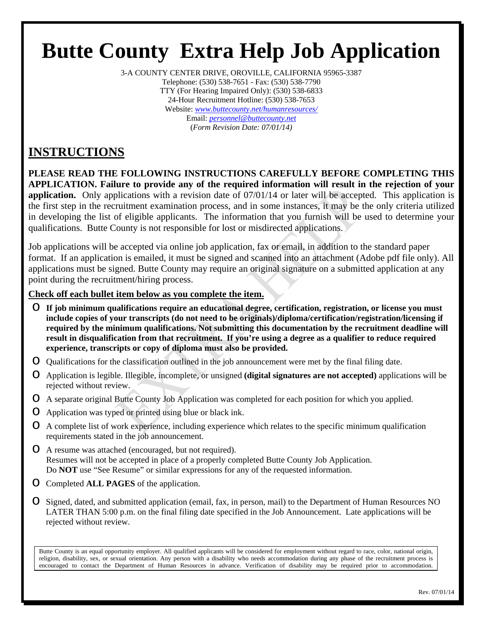# **Butte County Extra Help Job Application**

3-A COUNTY CENTER DRIVE, OROVILLE, CALIFORNIA 95965-3387 Telephone: (530) 538-7651 - Fax: (530) 538-7790 TTY (For Hearing Impaired Only): (530) 538-6833 24-Hour Recruitment Hotline: (530) 538-7653 Website: *www.buttecounty.net/humanresources/* Email: *personnel@buttecounty.net* (*Form Revision Date: 07/01/14)*

### **INSTRUCTIONS**

**PLEASE READ THE FOLLOWING INSTRUCTIONS CAREFULLY BEFORE COMPLETING THIS APPLICATION. Failure to provide any of the required information will result in the rejection of your application.** Only applications with a revision date of 07/01/14 or later will be accepted. This application is the first step in the recruitment examination process, and in some instances, it may be the only criteria utilized in developing the list of eligible applicants. The information that you furnish will be used to determine your qualifications. Butte County is not responsible for lost or misdirected applications.

Job applications will be accepted via online job application, fax or email, in addition to the standard paper format. If an application is emailed, it must be signed and scanned into an attachment (Adobe pdf file only). All applications must be signed. Butte County may require an original signature on a submitted application at any point during the recruitment/hiring process.

### **Check off each bullet item below as you complete the item.**

- o **If job minimum qualifications require an educational degree, certification, registration, or license you must include copies of your transcripts (do not need to be originals)/diploma/certification/registration/licensing if required by the minimum qualifications. Not submitting this documentation by the recruitment deadline will result in disqualification from that recruitment. If you're using a degree as a qualifier to reduce required experience, transcripts or copy of diploma must also be provided.**
- o Qualifications for the classification outlined in the job announcement were met by the final filing date.
- o Application is legible. Illegible, incomplete, or unsigned **(digital signatures are not accepted)** applications will be rejected without review.
- o A separate original Butte County Job Application was completed for each position for which you applied.
- o Application was typed or printed using blue or black ink.
- o A complete list of work experience, including experience which relates to the specific minimum qualification requirements stated in the job announcement.
- o A resume was attached (encouraged, but not required). Resumes will not be accepted in place of a properly completed Butte County Job Application. Do **NOT** use "See Resume" or similar expressions for any of the requested information.
- o Completed **ALL PAGES** of the application.
- o Signed, dated, and submitted application (email, fax, in person, mail) to the Department of Human Resources NO LATER THAN 5:00 p.m. on the final filing date specified in the Job Announcement. Late applications will be rejected without review.

Butte County is an equal opportunity employer. All qualified applicants will be considered for employment without regard to race, color, national origin, religion, disability, sex, or sexual orientation. Any person with a disability who needs accommodation during any phase of the recruitment process is encouraged to contact the Department of Human Resources in advance. Verification of disability may be required prior to accommodation.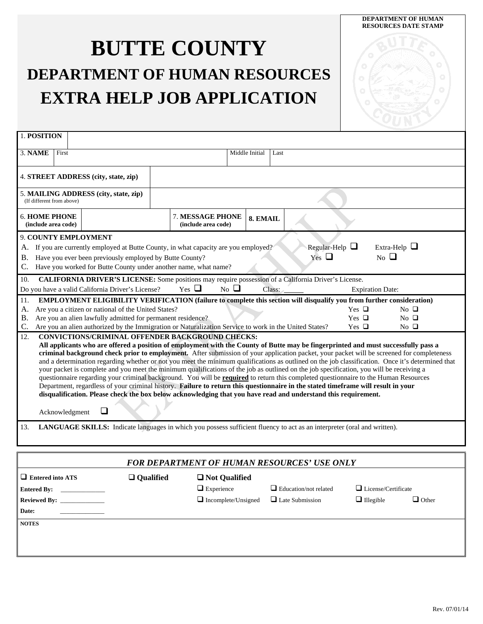## **BUTTE COUNTY DEPARTMENT OF HUMAN RESOURCES EXTRA HELP JOB APPLICATION**

| 1. POSITION                                                                                                                                                                                                                                                                                                                                                                                                                                                                                                                                                                                                                                                                                                                                                                                                                                                                                                                                                                                                                                       |                |  |                                                                                                                                                                                                                                         |  |                                         |                         |                          |        |                                   |            |                                         |
|---------------------------------------------------------------------------------------------------------------------------------------------------------------------------------------------------------------------------------------------------------------------------------------------------------------------------------------------------------------------------------------------------------------------------------------------------------------------------------------------------------------------------------------------------------------------------------------------------------------------------------------------------------------------------------------------------------------------------------------------------------------------------------------------------------------------------------------------------------------------------------------------------------------------------------------------------------------------------------------------------------------------------------------------------|----------------|--|-----------------------------------------------------------------------------------------------------------------------------------------------------------------------------------------------------------------------------------------|--|-----------------------------------------|-------------------------|--------------------------|--------|-----------------------------------|------------|-----------------------------------------|
|                                                                                                                                                                                                                                                                                                                                                                                                                                                                                                                                                                                                                                                                                                                                                                                                                                                                                                                                                                                                                                                   |                |  |                                                                                                                                                                                                                                         |  |                                         |                         |                          |        |                                   |            |                                         |
| 3. NAME                                                                                                                                                                                                                                                                                                                                                                                                                                                                                                                                                                                                                                                                                                                                                                                                                                                                                                                                                                                                                                           | First          |  |                                                                                                                                                                                                                                         |  |                                         |                         | Middle Initial           | Last   |                                   |            |                                         |
|                                                                                                                                                                                                                                                                                                                                                                                                                                                                                                                                                                                                                                                                                                                                                                                                                                                                                                                                                                                                                                                   |                |  |                                                                                                                                                                                                                                         |  |                                         |                         |                          |        |                                   |            |                                         |
|                                                                                                                                                                                                                                                                                                                                                                                                                                                                                                                                                                                                                                                                                                                                                                                                                                                                                                                                                                                                                                                   |                |  | 4. STREET ADDRESS (city, state, zip)                                                                                                                                                                                                    |  |                                         |                         |                          |        |                                   |            |                                         |
| (If different from above)                                                                                                                                                                                                                                                                                                                                                                                                                                                                                                                                                                                                                                                                                                                                                                                                                                                                                                                                                                                                                         |                |  | 5. MAILING ADDRESS (city, state, zip)                                                                                                                                                                                                   |  |                                         |                         |                          |        |                                   |            |                                         |
| <b>6. HOME PHONE</b><br>(include area code)                                                                                                                                                                                                                                                                                                                                                                                                                                                                                                                                                                                                                                                                                                                                                                                                                                                                                                                                                                                                       |                |  |                                                                                                                                                                                                                                         |  | 7. MESSAGE PHONE<br>(include area code) |                         | 8. EMAIL                 |        |                                   |            |                                         |
| А.<br>B.                                                                                                                                                                                                                                                                                                                                                                                                                                                                                                                                                                                                                                                                                                                                                                                                                                                                                                                                                                                                                                          |                |  | 9. COUNTY EMPLOYMENT<br>If you are currently employed at Butte County, in what capacity are you employed?<br>Have you ever been previously employed by Butte County?<br>Have you worked for Butte County under another name, what name? |  |                                         |                         |                          |        | Regular-Help $\Box$<br>Yes $\Box$ |            | Extra-Help $\Box$<br>$_{\rm No}$ $\Box$ |
| 10.                                                                                                                                                                                                                                                                                                                                                                                                                                                                                                                                                                                                                                                                                                                                                                                                                                                                                                                                                                                                                                               |                |  | CALIFORNIA DRIVER'S LICENSE: Some positions may require possession of a California Driver's License.                                                                                                                                    |  |                                         |                         |                          |        |                                   |            |                                         |
|                                                                                                                                                                                                                                                                                                                                                                                                                                                                                                                                                                                                                                                                                                                                                                                                                                                                                                                                                                                                                                                   |                |  | Do you have a valid California Driver's License?                                                                                                                                                                                        |  | Yes $\Box$                              | $\overline{N_0}$ $\Box$ |                          | Class: |                                   |            | <b>Expiration Date:</b>                 |
| 11.                                                                                                                                                                                                                                                                                                                                                                                                                                                                                                                                                                                                                                                                                                                                                                                                                                                                                                                                                                                                                                               |                |  | <b>EMPLOYMENT ELIGIBILITY VERIFICATION (failure to complete this section will disqualify you from further consideration)</b>                                                                                                            |  |                                         |                         |                          |        |                                   |            |                                         |
| A.                                                                                                                                                                                                                                                                                                                                                                                                                                                                                                                                                                                                                                                                                                                                                                                                                                                                                                                                                                                                                                                |                |  | Are you a citizen or national of the United States?                                                                                                                                                                                     |  |                                         |                         |                          |        |                                   | Yes $\Box$ | $No$ $\Box$                             |
| <b>B.</b>                                                                                                                                                                                                                                                                                                                                                                                                                                                                                                                                                                                                                                                                                                                                                                                                                                                                                                                                                                                                                                         |                |  | Are you an alien lawfully admitted for permanent residence?                                                                                                                                                                             |  |                                         |                         |                          |        |                                   | Yes $\Box$ | $No$ $\Box$                             |
| C.                                                                                                                                                                                                                                                                                                                                                                                                                                                                                                                                                                                                                                                                                                                                                                                                                                                                                                                                                                                                                                                |                |  | Are you an alien authorized by the Immigration or Naturalization Service to work in the United States?                                                                                                                                  |  |                                         |                         |                          |        |                                   | Yes $\Box$ | $No$ $\Box$                             |
| <b>CONVICTIONS/CRIMINAL OFFENDER BACKGROUND CHECKS:</b><br>12.<br>All applicants who are offered a position of employment with the County of Butte may be fingerprinted and must successfully pass a<br>criminal background check prior to employment. After submission of your application packet, your packet will be screened for completeness<br>and a determination regarding whether or not you meet the minimum qualifications as outlined on the job classification. Once it's determined that<br>your packet is complete and you meet the minimum qualifications of the job as outlined on the job specification, you will be receiving a<br>questionnaire regarding your criminal background. You will be required to return this completed questionnaire to the Human Resources<br>Department, regardless of your criminal history. Failure to return this questionnaire in the stated timeframe will result in your<br>disqualification. Please check the box below acknowledging that you have read and understand this requirement. |                |  |                                                                                                                                                                                                                                         |  |                                         |                         |                          |        |                                   |            |                                         |
|                                                                                                                                                                                                                                                                                                                                                                                                                                                                                                                                                                                                                                                                                                                                                                                                                                                                                                                                                                                                                                                   | Acknowledgment |  | ❏                                                                                                                                                                                                                                       |  |                                         |                         |                          |        |                                   |            |                                         |
| 13.                                                                                                                                                                                                                                                                                                                                                                                                                                                                                                                                                                                                                                                                                                                                                                                                                                                                                                                                                                                                                                               |                |  | LANGUAGE SKILLS: Indicate languages in which you possess sufficient fluency to act as an interpreter (oral and written).                                                                                                                |  |                                         |                         |                          |        |                                   |            |                                         |
|                                                                                                                                                                                                                                                                                                                                                                                                                                                                                                                                                                                                                                                                                                                                                                                                                                                                                                                                                                                                                                                   |                |  | ומית ממות ממו                                                                                                                                                                                                                           |  |                                         |                         | $\boldsymbol{M}$ DECALID |        |                                   |            |                                         |

| <b>FOR DEPARTMENT OF HUMAN RESOURCES' USE ONLY</b> |                  |                            |                              |                            |              |  |  |
|----------------------------------------------------|------------------|----------------------------|------------------------------|----------------------------|--------------|--|--|
| $\Box$ Entered into ATS                            | $\Box$ Qualified | □ Not Qualified            |                              |                            |              |  |  |
| <b>Entered By:</b>                                 |                  | $\Box$ Experience          | $\Box$ Education/not related | $\Box$ License/Certificate |              |  |  |
| <b>Reviewed By:</b>                                |                  | $\Box$ Incomplete/Unsigned | $\Box$ Late Submission       | $\Box$ Illegible           | $\Box$ Other |  |  |
| Date:                                              |                  |                            |                              |                            |              |  |  |
| <b>NOTES</b>                                       |                  |                            |                              |                            |              |  |  |
|                                                    |                  |                            |                              |                            |              |  |  |
|                                                    |                  |                            |                              |                            |              |  |  |
|                                                    |                  |                            |                              |                            |              |  |  |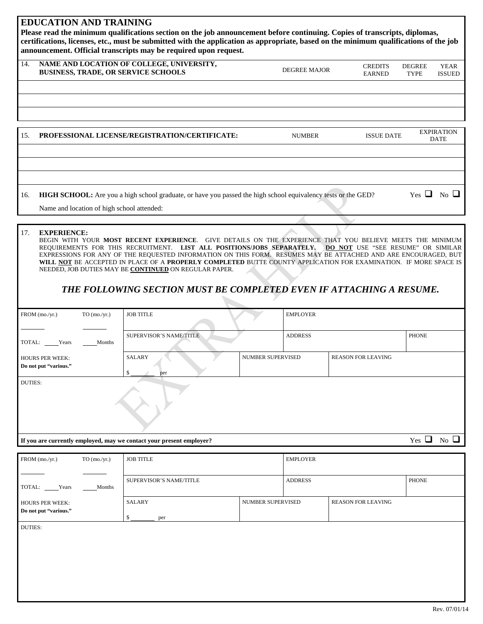#### **EDUCATION AND TRAINING**

**Please read the minimum qualifications section on the job announcement before continuing. Copies of transcripts, diplomas, certifications, licenses, etc., must be submitted with the application as appropriate, based on the minimum qualifications of the job announcement. Official transcripts may be required upon request.** 

| 14. | NAME AND LOCATION OF COLLEGE, UNIVERSITY,<br><b>BUSINESS, TRADE, OR SERVICE SCHOOLS</b> | <b>DEGREE MAJOR</b> | <b>CREDITS</b><br><b>EARNED</b> | <b>DEGREE</b><br><b>TYPE</b> | <b>YEAR</b><br><b>ISSUED</b> |
|-----|-----------------------------------------------------------------------------------------|---------------------|---------------------------------|------------------------------|------------------------------|
|     |                                                                                         |                     |                                 |                              |                              |
|     |                                                                                         |                     |                                 |                              |                              |
|     |                                                                                         |                     |                                 |                              |                              |

| 15. | PROFESSIONAL LICENSE/REGISTRATION/CERTIFICATE:                                                                | <b>NUMBER</b> | <b>ISSUE DATE</b> |                      | <b>EXPIRATION</b><br><b>DATE</b> |
|-----|---------------------------------------------------------------------------------------------------------------|---------------|-------------------|----------------------|----------------------------------|
|     |                                                                                                               |               |                   |                      |                                  |
|     |                                                                                                               |               |                   |                      |                                  |
|     |                                                                                                               |               |                   |                      |                                  |
| 16. | HIGH SCHOOL: Are you a high school graduate, or have you passed the high school equivalency tests or the GED? |               |                   | Yes $\Box$ No $\Box$ |                                  |
|     | Name and location of high school attended:                                                                    |               |                   |                      |                                  |

#### 17. **EXPERIENCE:**

BEGIN WITH YOUR **MOST RECENT EXPERIENCE**. GIVE DETAILS ON THE EXPERIENCE THAT YOU BELIEVE MEETS THE MINIMUM REQUIREMENTS FOR THIS RECRUITMENT. **LIST ALL POSITIONS/JOBS SEPARATELY. DO NOT** USE "SEE RESUME" OR SIMILAR EXPRESSIONS FOR ANY OF THE REQUESTED INFORMATION ON THIS FORM. RESUMES MAY BE ATTACHED AND ARE ENCOURAGED, BUT **WILL NOT** BE ACCEPTED IN PLACE OF A **PROPERLY COMPLETED** BUTTE COUNTY APPLICATION FOR EXAMINATION. IF MORE SPACE IS NEEDED, JOB DUTIES MAY BE **CONTINUED** ON REGULAR PAPER.

### *THE FOLLOWING SECTION MUST BE COMPLETED EVEN IF ATTACHING A RESUME.*

| FROM (mo./yr.)                                  | $TO$ (mo./yr.) | <b>JOB TITLE</b>                                                     |                          | <b>EMPLOYER</b> |                           |              |                         |
|-------------------------------------------------|----------------|----------------------------------------------------------------------|--------------------------|-----------------|---------------------------|--------------|-------------------------|
| TOTAL: Years                                    | Months         | <b>SUPERVISOR'S NAME/TITLE</b>                                       |                          | <b>ADDRESS</b>  |                           | <b>PHONE</b> |                         |
| <b>HOURS PER WEEK:</b><br>Do not put "various." |                | SALARY<br>\$<br>per                                                  | <b>NUMBER SUPERVISED</b> |                 | <b>REASON FOR LEAVING</b> |              |                         |
| <b>DUTIES:</b>                                  |                |                                                                      |                          |                 |                           |              |                         |
|                                                 |                | If you are currently employed, may we contact your present employer? |                          |                 |                           | ⊔<br>Yes     | $\overline{N_0}$ $\Box$ |

| $FROM$ (mo./yr.)                                | $TO \, (mo./yr.)$ | <b>JOB TITLE</b>        |                   | <b>EMPLOYER</b> |                           |       |
|-------------------------------------------------|-------------------|-------------------------|-------------------|-----------------|---------------------------|-------|
|                                                 |                   |                         |                   |                 |                           |       |
| TOTAL:<br>Years                                 | Months            | SUPERVISOR'S NAME/TITLE |                   | <b>ADDRESS</b>  |                           | PHONE |
| <b>HOURS PER WEEK:</b><br>Do not put "various." |                   | <b>SALARY</b><br>per    | NUMBER SUPERVISED |                 | <b>REASON FOR LEAVING</b> |       |
| <b>DUTIES:</b>                                  |                   |                         |                   |                 |                           |       |